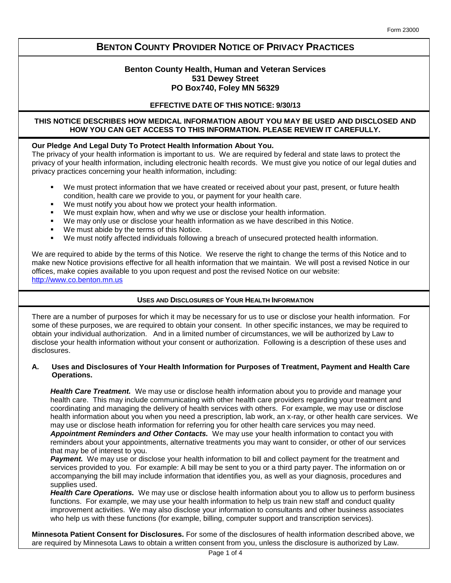# **BENTON COUNTY PROVIDER NOTICE OF PRIVACY PRACTICES**

# **Benton County Health, Human and Veteran Services 531 Dewey Street PO Box740, Foley MN 56329**

# **EFFECTIVE DATE OF THIS NOTICE: 9/30/13**

# **THIS NOTICE DESCRIBES HOW MEDICAL INFORMATION ABOUT YOU MAY BE USED AND DISCLOSED AND HOW YOU CAN GET ACCESS TO THIS INFORMATION. PLEASE REVIEW IT CAREFULLY.**

## **Our Pledge And Legal Duty To Protect Health Information About You.**

The privacy of your health information is important to us. We are required by federal and state laws to protect the privacy of your health information, including electronic health records. We must give you notice of our legal duties and privacy practices concerning your health information, including:

- We must protect information that we have created or received about your past, present, or future health condition, health care we provide to you, or payment for your health care.
- We must notify you about how we protect your health information.
- We must explain how, when and why we use or disclose your health information.
- We may only use or disclose your health information as we have described in this Notice.
- We must abide by the terms of this Notice.
- We must notify affected individuals following a breach of unsecured protected health information.

We are required to abide by the terms of this Notice. We reserve the right to change the terms of this Notice and to make new Notice provisions effective for all health information that we maintain. We will post a revised Notice in our offices, make copies available to you upon request and post the revised Notice on our website: http:/[/www.co.benton.mn.us](http://www.co.benton.mn.us/)

# **USES AND DISCLOSURES OF YOUR HEALTH INFORMATION**

There are a number of purposes for which it may be necessary for us to use or disclose your health information. For some of these purposes, we are required to obtain your consent. In other specific instances, we may be required to obtain your individual authorization. And in a limited number of circumstances, we will be authorized by Law to disclose your health information without your consent or authorization. Following is a description of these uses and disclosures.

## **A. Uses and Disclosures of Your Health Information for Purposes of Treatment, Payment and Health Care Operations.**

*Health Care Treatment.* We may use or disclose health information about you to provide and manage your health care. This may include communicating with other health care providers regarding your treatment and coordinating and managing the delivery of health services with others. For example, we may use or disclose health information about you when you need a prescription, lab work, an x-ray, or other health care services. We may use or disclose heath information for referring you for other health care services you may need. *Appointment Reminders and Other Contacts.* We may use your health information to contact you with reminders about your appointments, alternative treatments you may want to consider, or other of our services that may be of interest to you.

**Payment.** We may use or disclose your health information to bill and collect payment for the treatment and services provided to you. For example: A bill may be sent to you or a third party payer. The information on or accompanying the bill may include information that identifies you, as well as your diagnosis, procedures and supplies used.

*Health Care Operations.* We may use or disclose health information about you to allow us to perform business functions. For example, we may use your health information to help us train new staff and conduct quality improvement activities. We may also disclose your information to consultants and other business associates who help us with these functions (for example, billing, computer support and transcription services).

**Minnesota Patient Consent for Disclosures.** For some of the disclosures of health information described above, we are required by Minnesota Laws to obtain a written consent from you, unless the disclosure is authorized by Law.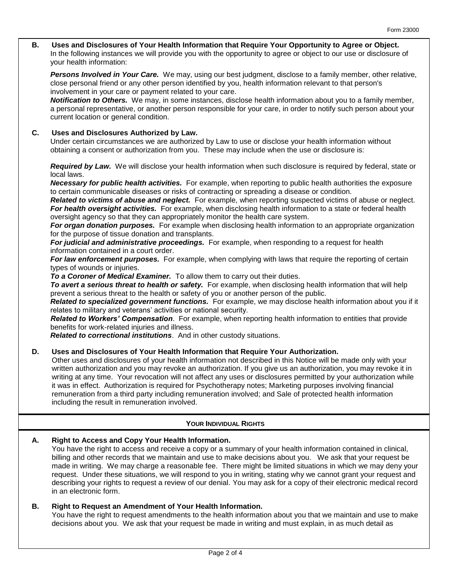### **B. Uses and Disclosures of Your Health Information that Require Your Opportunity to Agree or Object.** In the following instances we will provide you with the opportunity to agree or object to our use or disclosure of your health information:

*Persons Involved in Your Care.* We may, using our best judgment, disclose to a family member, other relative, close personal friend or any other person identified by you, health information relevant to that person's involvement in your care or payment related to your care.

*Notification to Others.* We may, in some instances, disclose health information about you to a family member, a personal representative, or another person responsible for your care, in order to notify such person about your current location or general condition.

# **C. Uses and Disclosures Authorized by Law.**

Under certain circumstances we are authorized by Law to use or disclose your health information without obtaining a consent or authorization from you. These may include when the use or disclosure is:

*Required by Law.* We will disclose your health information when such disclosure is required by federal, state or local laws.

*Necessary for public health activities.* For example, when reporting to public health authorities the exposure to certain communicable diseases or risks of contracting or spreading a disease or condition.

*Related to victims of abuse and neglect.* For example, when reporting suspected victims of abuse or neglect. *For health oversight activities.* For example, when disclosing health information to a state or federal health oversight agency so that they can appropriately monitor the health care system.

*For organ donation purposes.* For example when disclosing health information to an appropriate organization for the purpose of tissue donation and transplants.

*For judicial and administrative proceedings.* For example, when responding to a request for health information contained in a court order.

*For law enforcement purposes.* For example, when complying with laws that require the reporting of certain types of wounds or injuries.

*To a Coroner of Medical Examiner.* To allow them to carry out their duties.

*To avert a serious threat to health or safety.* For example, when disclosing health information that will help prevent a serious threat to the health or safety of you or another person of the public.

*Related to specialized government functions.* For example, we may disclose health information about you if it relates to military and veterans' activities or national security.

*Related to Workers' Compensation*. For example, when reporting health information to entities that provide benefits for work-related injuries and illness.

*Related to correctional institutions*. And in other custody situations.

## **D. Uses and Disclosures of Your Health Information that Require Your Authorization.**

Other uses and disclosures of your health information not described in this Notice will be made only with your written authorization and you may revoke an authorization. If you give us an authorization, you may revoke it in writing at any time. Your revocation will not affect any uses or disclosures permitted by your authorization while it was in effect. Authorization is required for Psychotherapy notes; Marketing purposes involving financial remuneration from a third party including remuneration involved; and Sale of protected health information including the result in remuneration involved.

# **YOUR INDIVIDUAL RIGHTS**

## **A. Right to Access and Copy Your Health Information.**

You have the right to access and receive a copy or a summary of your health information contained in clinical, billing and other records that we maintain and use to make decisions about you. We ask that your request be made in writing. We may charge a reasonable fee. There might be limited situations in which we may deny your request. Under these situations, we will respond to you in writing, stating why we cannot grant your request and describing your rights to request a review of our denial. You may ask for a copy of their electronic medical record in an electronic form.

# **B. Right to Request an Amendment of Your Health Information.**

You have the right to request amendments to the health information about you that we maintain and use to make decisions about you. We ask that your request be made in writing and must explain, in as much detail as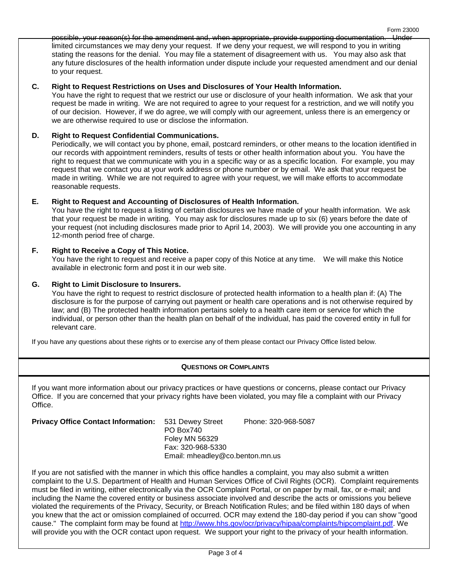possible, your reason(s) for the amendment and, when appropriate, provide supporting documentation. Under limited circumstances we may deny your request. If we deny your request, we will respond to you in writing stating the reasons for the denial. You may file a statement of disagreement with us. You may also ask that any future disclosures of the health information under dispute include your requested amendment and our denial to your request.

Form 23000

# **C. Right to Request Restrictions on Uses and Disclosures of Your Health Information.**

You have the right to request that we restrict our use or disclosure of your health information. We ask that your request be made in writing. We are not required to agree to your request for a restriction, and we will notify you of our decision. However, if we do agree, we will comply with our agreement, unless there is an emergency or we are otherwise required to use or disclose the information.

# **D. Right to Request Confidential Communications.**

Periodically, we will contact you by phone, email, postcard reminders, or other means to the location identified in our records with appointment reminders, results of tests or other health information about you. You have the right to request that we communicate with you in a specific way or as a specific location. For example, you may request that we contact you at your work address or phone number or by email. We ask that your request be made in writing. While we are not required to agree with your request, we will make efforts to accommodate reasonable requests.

# **E. Right to Request and Accounting of Disclosures of Health Information.**

You have the right to request a listing of certain disclosures we have made of your health information. We ask that your request be made in writing. You may ask for disclosures made up to six (6) years before the date of your request (not including disclosures made prior to April 14, 2003). We will provide you one accounting in any 12-month period free of charge.

# **F. Right to Receive a Copy of This Notice.**

You have the right to request and receive a paper copy of this Notice at any time. We will make this Notice available in electronic form and post it in our web site.

## **G. Right to Limit Disclosure to Insurers.**

You have the right to request to restrict disclosure of protected health information to a health plan if: (A) The disclosure is for the purpose of carrying out payment or health care operations and is not otherwise required by law; and (B) The protected health information pertains solely to a health care item or service for which the individual, or person other than the health plan on behalf of the individual, has paid the covered entity in full for relevant care.

If you have any questions about these rights or to exercise any of them please contact our Privacy Office listed below.

# **QUESTIONS OR COMPLAINTS**

If you want more information about our privacy practices or have questions or concerns, please contact our Privacy Office. If you are concerned that your privacy rights have been violated, you may file a complaint with our Privacy Office.

| <b>Privacy Office Contact Information:</b> | 531 Dewey Street<br>PO Box740<br>Foley MN 56329<br>Fax: 320-968-5330 | Phone: 320-968-5087 |
|--------------------------------------------|----------------------------------------------------------------------|---------------------|
|                                            |                                                                      |                     |
|                                            | Email: mheadley@co.benton.mn.us                                      |                     |

If you are not satisfied with the manner in which this office handles a complaint, you may also submit a written complaint to the U.S. Department of Health and Human Services Office of Civil Rights (OCR). Complaint requirements must be filed in writing, either electronically via the OCR Complaint Portal, or on paper by mail, fax, or e-mail; and including the Name the covered entity or business associate involved and describe the acts or omissions you believe violated the requirements of the Privacy, Security, or Breach Notification Rules; and be filed within 180 days of when you knew that the act or omission complained of occurred. OCR may extend the 180-day period if you can show "good cause." The complaint form may be found at [http://www.hhs.gov/ocr/privacy/hipaa/complaints/hipcomplaint.pdf.](http://www.hhs.gov/ocr/privacy/hipaa/complaints/hipcomplaint.pdf) We will provide you with the OCR contact upon request. We support your right to the privacy of your health information.